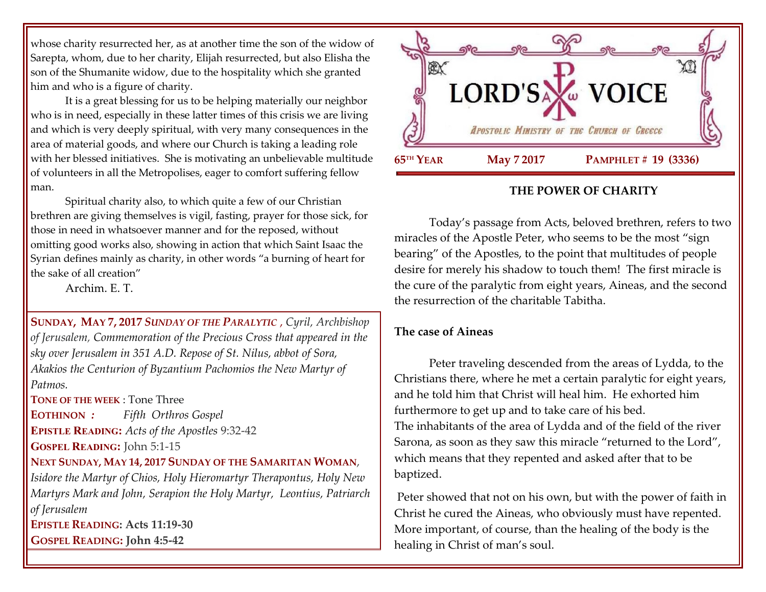whose charity resurrected her, as at another time the son of the widow of Sarepta, whom, due to her charity, Elijah resurrected, but also Elisha the son of the Shumanite widow, due to the hospitality which she granted him and who is a figure of charity.

It is a great blessing for us to be helping materially our neighbor who is in need, especially in these latter times of this crisis we are living and which is very deeply spiritual, with very many consequences in the area of material goods, and where our Church is taking a leading role with her blessed initiatives. She is motivating an unbelievable multitude of volunteers in all the Metropolises, eager to comfort suffering fellow man.

Spiritual charity also, to which quite a few of our Christian brethren are giving themselves is vigil, fasting, prayer for those sick, for those in need in whatsoever manner and for the reposed, without omitting good works also, showing in action that which Saint Isaac the Syrian defines mainly as charity, in other words "a burning of heart for the sake of all creation"

Archim. E. T.

**SUNDAY, MAY 7, 2017** *S[UNDAY OF THE](https://www.goarch.org/chapel/saints?contentid=856&PCode=3PS&D=S&date=5/7/2017) PARALYTIC* , *Cyril, Archbishop of Jerusalem, Commemoration of the Precious Cross that appeared in the sky over Jerusalem in 351 A.D. Repose of St. Nilus, abbot of Sora, Akakios the Centurion of Byzantium Pachomios the New Martyr of Patmos.*

**TONE OF THE WEEK** : Tone Three

**EOTHINON** *: Fifth Orthros Gospel* **EPISTLE READING:** *Acts of the Apostles* 9:32-42 **GOSPEL READING:** John 5:1-15

# **NEXT SUNDAY, MAY 14, 2017 SUNDAY OF THE SAMARITAN WOMAN**,

*Isidore the Martyr of Chios, Holy Hieromartyr Therapontus, Holy New Martyrs Mark and John, Serapion the Holy Martyr, Leontius, Patriarch of Jerusalem*  **EPISTLE READING: Acts 11:19-30**

**GOSPEL READING: John 4:5-42**



### **THE POWER OF CHARITY**

Today's passage from Acts, beloved brethren, refers to two miracles of the Apostle Peter, who seems to be the most "sign bearing" of the Apostles, to the point that multitudes of people desire for merely his shadow to touch them! The first miracle is the cure of the paralytic from eight years, Aineas, and the second the resurrection of the charitable Tabitha.

### **The case of Aineas**

Peter traveling descended from the areas of Lydda, to the Christians there, where he met a certain paralytic for eight years, and he told him that Christ will heal him. He exhorted him furthermore to get up and to take care of his bed. The inhabitants of the area of Lydda and of the field of the river Sarona, as soon as they saw this miracle "returned to the Lord", which means that they repented and asked after that to be baptized.

Peter showed that not on his own, but with the power of faith in Christ he cured the Aineas, who obviously must have repented. More important, of course, than the healing of the body is the healing in Christ of man's soul.